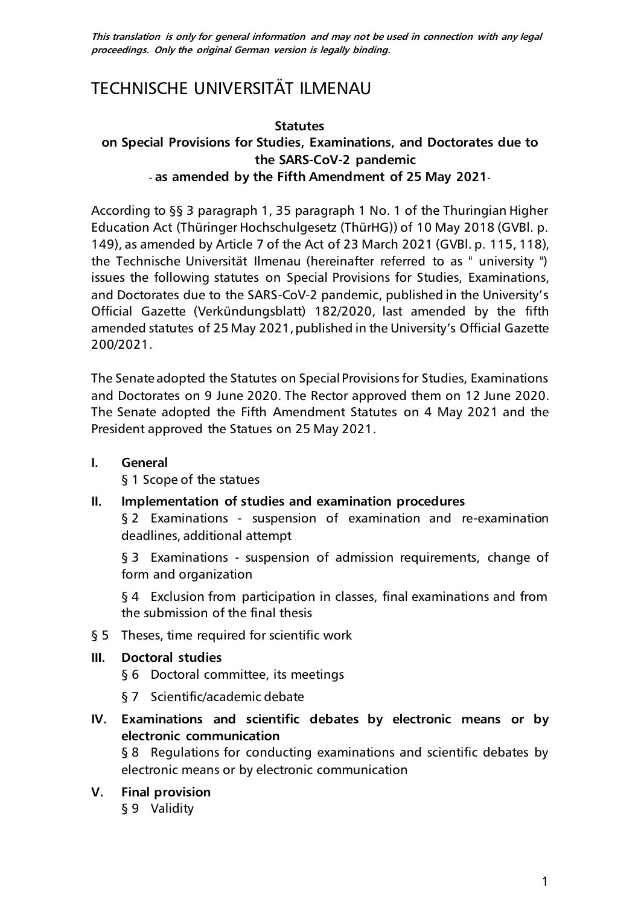**This translation is only for general information and may not be used in connection with any legal proceedings. Only the original German version is legally binding.**

# TECHNISCHE UNIVERSITÄT ILMENAU

#### **Statutes**

# **on Special Provisions for Studies, Examinations, and Doctorates due to the SARS-CoV-2 pandemic - as amended by the Fifth Amendment of 25 May 2021-**

According to §§ 3 paragraph 1, 35 paragraph 1 No. 1 of the Thuringian Higher Education Act (Thüringer Hochschulgesetz (ThürHG)) of 10 May 2018 (GVBl. p. 149), as amended by Article 7 of the Act of 23 March 2021 (GVBl. p. 115, 118), the Technische Universität Ilmenau (hereinafter referred to as " university ") issues the following statutes on Special Provisions for Studies, Examinations, and Doctorates due to the SARS-CoV-2 pandemic, published in the University's Official Gazette (Verkündungsblatt) 182/2020, last amended by the fifth amended statutes of 25 May 2021, published in the University's Official Gazette 200/2021.

The Senate adopted the Statutes on Special Provisions for Studies, Examinations and Doctorates on 9 June 2020. The Rector approved them on 12 June 2020. The Senate adopted the Fifth Amendment Statutes on 4 May 2021 and the President approved the Statues on 25 May 2021.

**I. [General](#page-1-0)**

[§ 1 Scope of the statues](#page-1-1)

**II. [Implementation of studies and examination procedures](#page-1-2)**

§ 2 Examinations - [suspension of examination and re-examination](#page-1-3)  [deadlines, additional attempt](#page-1-3)

§ 3 Examinations - suspension of admission requirements, change of [form and organization](#page-2-0)

[§ 4 Exclusion from participation in classes, final examinations and from](#page-4-0)  [the submission of the final thesis](#page-4-0)

[§ 5 Theses, time required for scientific work](#page-4-1)

#### **III. [Doctoral studies](#page-4-2)**

- [§ 6 Doctoral committee, its meetings](#page-4-3)
- [§ 7 Scientific/academic debate](#page-5-0)

# **IV. [Examinations and scientific debates by electronic means or by](#page-5-1)  [electronic communication](#page-5-1)**

[§ 8 Regulations for conducting examinations and scientific debates by](#page-5-2)  [electronic means or by electronic communication](#page-5-2)

#### **V. [Final provision](#page-7-0)**

§ 9 [Validity](#page-7-1)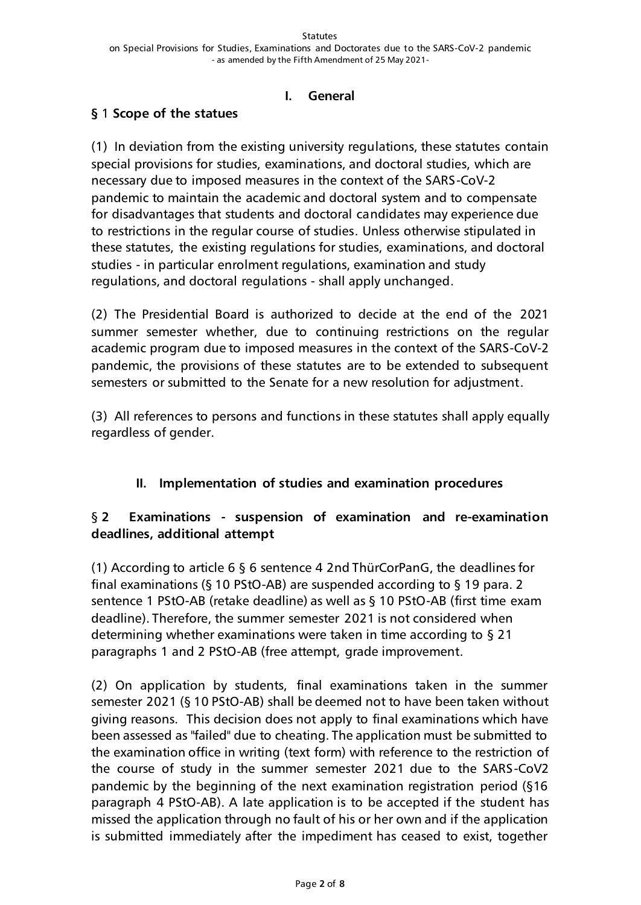#### **I. General**

# <span id="page-1-1"></span><span id="page-1-0"></span>**§** 1 **Scope of the statues**

(1) In deviation from the existing university regulations, these statutes contain special provisions for studies, examinations, and doctoral studies, which are necessary due to imposed measures in the context of the SARS-CoV-2 pandemic to maintain the academic and doctoral system and to compensate for disadvantages that students and doctoral candidates may experience due to restrictions in the regular course of studies. Unless otherwise stipulated in these statutes, the existing regulations for studies, examinations, and doctoral studies - in particular enrolment regulations, examination and study regulations, and doctoral regulations - shall apply unchanged.

(2) The Presidential Board is authorized to decide at the end of the 2021 summer semester whether, due to continuing restrictions on the regular academic program due to imposed measures in the context of the SARS-CoV-2 pandemic, the provisions of these statutes are to be extended to subsequent semesters or submitted to the Senate for a new resolution for adjustment.

(3) All references to persons and functions in these statutes shall apply equally regardless of gender.

## <span id="page-1-2"></span>**II. Implementation of studies and examination procedures**

# <span id="page-1-3"></span>§ **2 Examinations - suspension of examination and re-examination deadlines, additional attempt**

(1) According to article 6 § 6 sentence 4 2nd ThürCorPanG, the deadlines for final examinations (§ 10 PStO-AB) are suspended according to § 19 para. 2 sentence 1 PStO-AB (retake deadline) as well as § 10 PStO-AB (first time exam deadline). Therefore, the summer semester 2021 is not considered when determining whether examinations were taken in time according to § 21 paragraphs 1 and 2 PStO-AB (free attempt, grade improvement.

(2) On application by students, final examinations taken in the summer semester 2021 (§ 10 PStO-AB) shall be deemed not to have been taken without giving reasons. This decision does not apply to final examinations which have been assessed as "failed" due to cheating. The application must be submitted to the examination office in writing (text form) with reference to the restriction of the course of study in the summer semester 2021 due to the SARS-CoV2 pandemic by the beginning of the next examination registration period (§16 paragraph 4 PStO-AB). A late application is to be accepted if the student has missed the application through no fault of his or her own and if the application is submitted immediately after the impediment has ceased to exist, together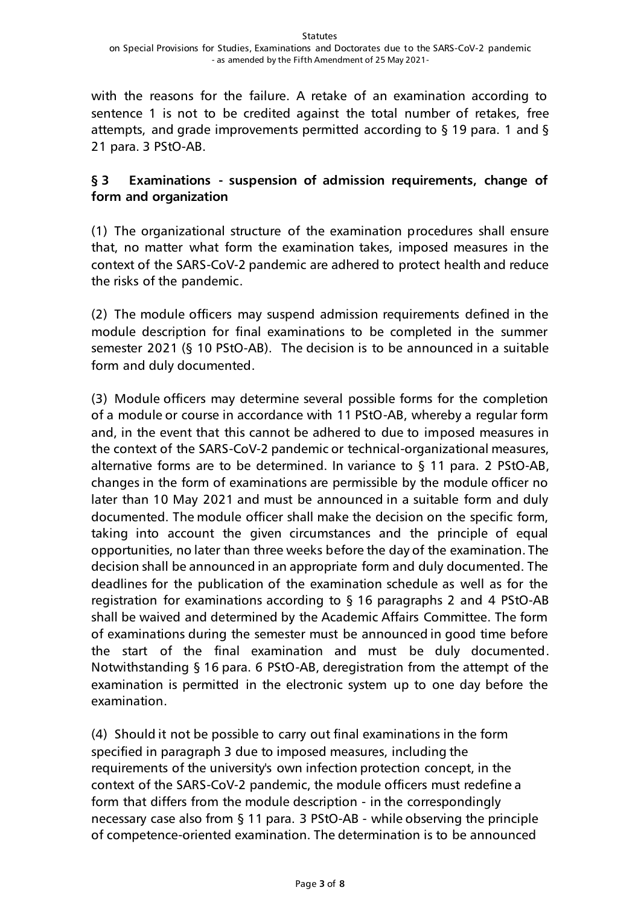with the reasons for the failure. A retake of an examination according to sentence 1 is not to be credited against the total number of retakes, free attempts, and grade improvements permitted according to § 19 para. 1 and § 21 para. 3 PStO-AB.

# <span id="page-2-0"></span>**§ 3 Examinations - suspension of admission requirements, change of form and organization**

(1) The organizational structure of the examination procedures shall ensure that, no matter what form the examination takes, imposed measures in the context of the SARS-CoV-2 pandemic are adhered to protect health and reduce the risks of the pandemic.

(2) The module officers may suspend admission requirements defined in the module description for final examinations to be completed in the summer semester 2021 (§ 10 PStO-AB). The decision is to be announced in a suitable form and duly documented.

(3) Module officers may determine several possible forms for the completion of a module or course in accordance with 11 PStO-AB, whereby a regular form and, in the event that this cannot be adhered to due to imposed measures in the context of the SARS-CoV-2 pandemic or technical-organizational measures, alternative forms are to be determined. In variance to § 11 para. 2 PStO-AB, changes in the form of examinations are permissible by the module officer no later than 10 May 2021 and must be announced in a suitable form and duly documented. The module officer shall make the decision on the specific form, taking into account the given circumstances and the principle of equal opportunities, no later than three weeks before the day of the examination. The decision shall be announced in an appropriate form and duly documented. The deadlines for the publication of the examination schedule as well as for the registration for examinations according to § 16 paragraphs 2 and 4 PStO-AB shall be waived and determined by the Academic Affairs Committee. The form of examinations during the semester must be announced in good time before the start of the final examination and must be duly documented. Notwithstanding § 16 para. 6 PStO-AB, deregistration from the attempt of the examination is permitted in the electronic system up to one day before the examination.

(4) Should it not be possible to carry out final examinations in the form specified in paragraph 3 due to imposed measures, including the requirements of the university's own infection protection concept, in the context of the SARS-CoV-2 pandemic, the module officers must redefine a form that differs from the module description - in the correspondingly necessary case also from § 11 para. 3 PStO-AB - while observing the principle of competence-oriented examination. The determination is to be announced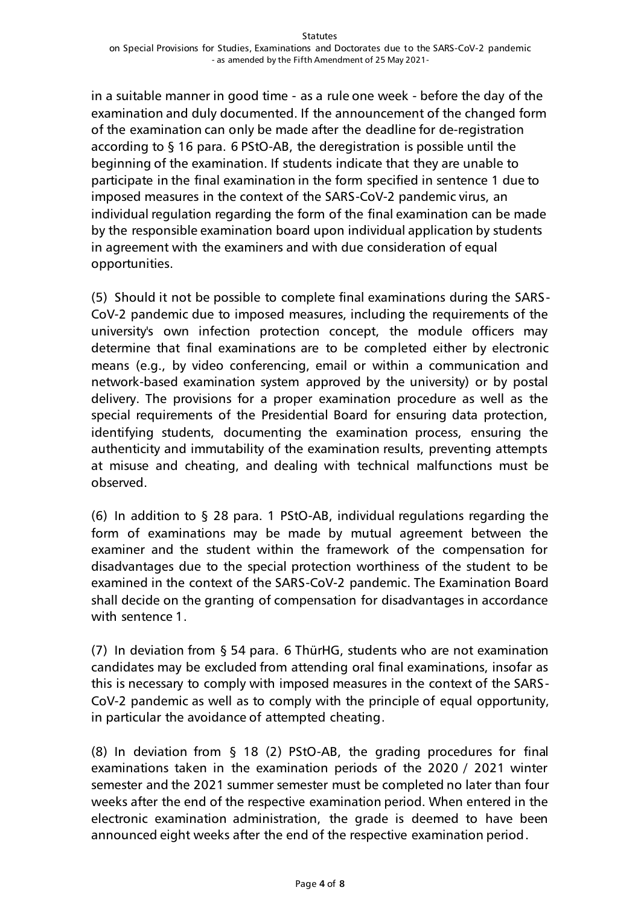in a suitable manner in good time - as a rule one week - before the day of the examination and duly documented. If the announcement of the changed form of the examination can only be made after the deadline for de-registration according to § 16 para. 6 PStO-AB, the deregistration is possible until the beginning of the examination. If students indicate that they are unable to participate in the final examination in the form specified in sentence 1 due to imposed measures in the context of the SARS-CoV-2 pandemic virus, an individual regulation regarding the form of the final examination can be made by the responsible examination board upon individual application by students in agreement with the examiners and with due consideration of equal opportunities.

(5) Should it not be possible to complete final examinations during the SARS-CoV-2 pandemic due to imposed measures, including the requirements of the university's own infection protection concept, the module officers may determine that final examinations are to be completed either by electronic means (e.g., by video conferencing, email or within a communication and network-based examination system approved by the university) or by postal delivery. The provisions for a proper examination procedure as well as the special requirements of the Presidential Board for ensuring data protection, identifying students, documenting the examination process, ensuring the authenticity and immutability of the examination results, preventing attempts at misuse and cheating, and dealing with technical malfunctions must be observed.

(6) In addition to § 28 para. 1 PStO-AB, individual regulations regarding the form of examinations may be made by mutual agreement between the examiner and the student within the framework of the compensation for disadvantages due to the special protection worthiness of the student to be examined in the context of the SARS-CoV-2 pandemic. The Examination Board shall decide on the granting of compensation for disadvantages in accordance with sentence 1

(7) In deviation from § 54 para. 6 ThürHG, students who are not examination candidates may be excluded from attending oral final examinations, insofar as this is necessary to comply with imposed measures in the context of the SARS-CoV-2 pandemic as well as to comply with the principle of equal opportunity, in particular the avoidance of attempted cheating.

(8) In deviation from § 18 (2) PStO-AB, the grading procedures for final examinations taken in the examination periods of the 2020 / 2021 winter semester and the 2021 summer semester must be completed no later than four weeks after the end of the respective examination period. When entered in the electronic examination administration, the grade is deemed to have been announced eight weeks after the end of the respective examination period.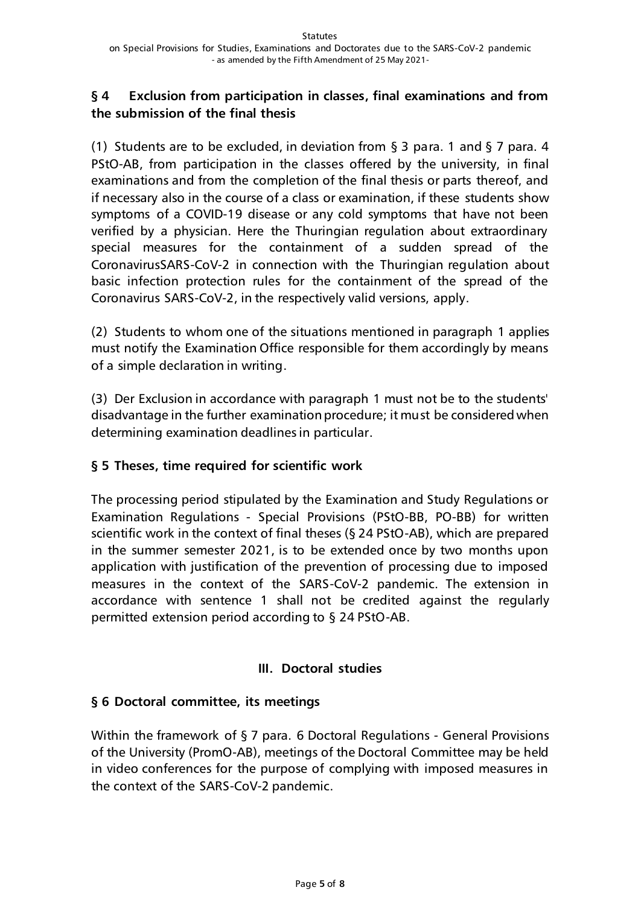# <span id="page-4-0"></span>**§ 4 Exclusion from participation in classes, final examinations and from the submission of the final thesis**

(1) Students are to be excluded, in deviation from § 3 para. 1 and § 7 para. 4 PStO-AB, from participation in the classes offered by the university, in final examinations and from the completion of the final thesis or parts thereof, and if necessary also in the course of a class or examination, if these students show symptoms of a COVID-19 disease or any cold symptoms that have not been verified by a physician. Here the Thuringian regulation about extraordinary special measures for the containment of a sudden spread of the CoronavirusSARS-CoV-2 in connection with the Thuringian regulation about basic infection protection rules for the containment of the spread of the Coronavirus SARS-CoV-2, in the respectively valid versions, apply.

(2) Students to whom one of the situations mentioned in paragraph 1 applies must notify the Examination Office responsible for them accordingly by means of a simple declaration in writing.

(3) Der Exclusion in accordance with paragraph 1 must not be to the students' disadvantage in the further examination procedure; it must be considered when determining examination deadlines in particular.

## <span id="page-4-1"></span>**§ 5 Theses, time required for scientific work**

The processing period stipulated by the Examination and Study Regulations or Examination Regulations - Special Provisions (PStO-BB, PO-BB) for written scientific work in the context of final theses (§ 24 PStO-AB), which are prepared in the summer semester 2021, is to be extended once by two months upon application with justification of the prevention of processing due to imposed measures in the context of the SARS-CoV-2 pandemic. The extension in accordance with sentence 1 shall not be credited against the regularly permitted extension period according to § 24 PStO-AB.

## **III. Doctoral studies**

## <span id="page-4-3"></span><span id="page-4-2"></span>**§ 6 Doctoral committee, its meetings**

Within the framework of § 7 para. 6 Doctoral Regulations - General Provisions of the University (PromO-AB), meetings of the Doctoral Committee may be held in video conferences for the purpose of complying with imposed measures in the context of the SARS-CoV-2 pandemic.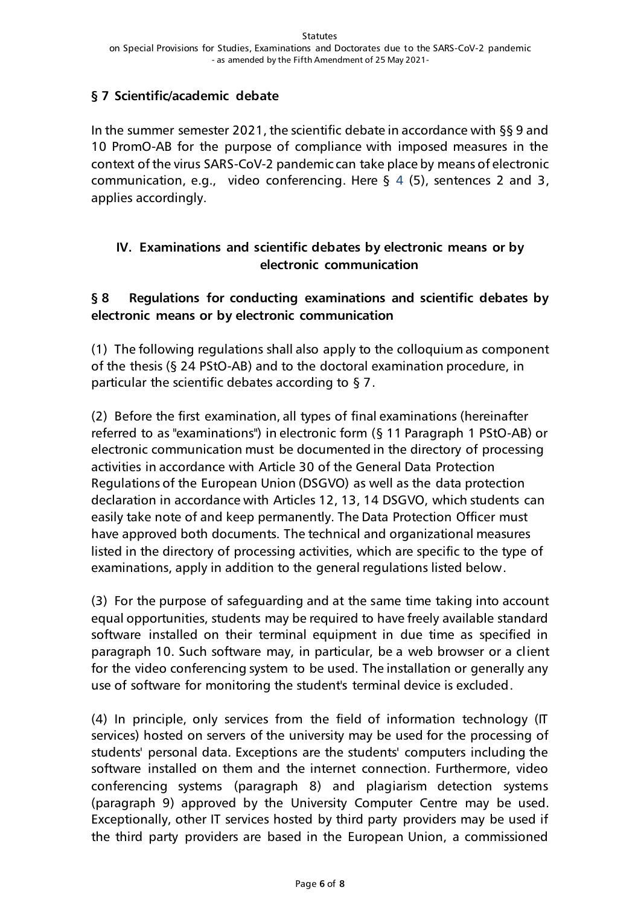# <span id="page-5-0"></span>**§ 7 Scientific/academic debate**

In the summer semester 2021, the scientific debate in accordance with §§ 9 and 10 PromO-AB for the purpose of compliance with imposed measures in the context of the virus SARS-CoV-2 pandemic can take place by means of electronic communication, e.g., video conferencing. Here § 4 (5), sentences 2 and 3, applies accordingly.

# <span id="page-5-1"></span>**IV. Examinations and scientific debates by electronic means or by electronic communication**

# <span id="page-5-2"></span>**§ 8 Regulations for conducting examinations and scientific debates by electronic means or by electronic communication**

(1) The following regulations shall also apply to the colloquium as component of the thesis (§ 24 PStO-AB) and to the doctoral examination procedure, in particular the scientific debates according to § 7.

(2) Before the first examination, all types of final examinations (hereinafter referred to as "examinations") in electronic form (§ 11 Paragraph 1 PStO-AB) or electronic communication must be documented in the directory of processing activities in accordance with Article 30 of the General Data Protection Regulations of the European Union (DSGVO) as well as the data protection declaration in accordance with Articles 12, 13, 14 DSGVO, which students can easily take note of and keep permanently. The Data Protection Officer must have approved both documents. The technical and organizational measures listed in the directory of processing activities, which are specific to the type of examinations, apply in addition to the general regulations listed below.

(3) For the purpose of safeguarding and at the same time taking into account equal opportunities, students may be required to have freely available standard software installed on their terminal equipment in due time as specified in paragraph 10. Such software may, in particular, be a web browser or a client for the video conferencing system to be used. The installation or generally any use of software for monitoring the student's terminal device is excluded.

(4) In principle, only services from the field of information technology (IT services) hosted on servers of the university may be used for the processing of students' personal data. Exceptions are the students' computers including the software installed on them and the internet connection. Furthermore, video conferencing systems (paragraph 8) and plagiarism detection systems (paragraph 9) approved by the University Computer Centre may be used. Exceptionally, other IT services hosted by third party providers may be used if the third party providers are based in the European Union, a commissioned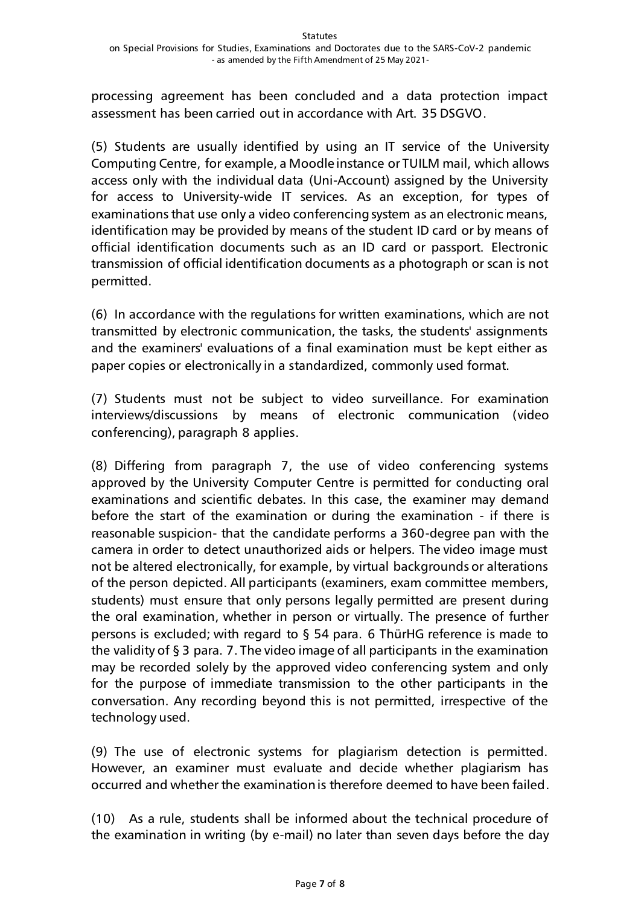processing agreement has been concluded and a data protection impact assessment has been carried out in accordance with Art. 35 DSGVO.

(5) Students are usually identified by using an IT service of the University Computing Centre, for example, a Moodle instance or TUILM mail, which allows access only with the individual data (Uni-Account) assigned by the University for access to University-wide IT services. As an exception, for types of examinations that use only a video conferencing system as an electronic means, identification may be provided by means of the student ID card or by means of official identification documents such as an ID card or passport. Electronic transmission of official identification documents as a photograph or scan is not permitted.

(6) In accordance with the regulations for written examinations, which are not transmitted by electronic communication, the tasks, the students' assignments and the examiners' evaluations of a final examination must be kept either as paper copies or electronically in a standardized, commonly used format.

(7) Students must not be subject to video surveillance. For examination interviews/discussions by means of electronic communication (video conferencing), paragraph 8 applies.

(8) Differing from paragraph 7, the use of video conferencing systems approved by the University Computer Centre is permitted for conducting oral examinations and scientific debates. In this case, the examiner may demand before the start of the examination or during the examination - if there is reasonable suspicion- that the candidate performs a 360-degree pan with the camera in order to detect unauthorized aids or helpers. The video image must not be altered electronically, for example, by virtual backgrounds or alterations of the person depicted. All participants (examiners, exam committee members, students) must ensure that only persons legally permitted are present during the oral examination, whether in person or virtually. The presence of further persons is excluded; with regard to § 54 para. 6 ThürHG reference is made to the validity of § 3 para. 7. The video image of all participants in the examination may be recorded solely by the approved video conferencing system and only for the purpose of immediate transmission to the other participants in the conversation. Any recording beyond this is not permitted, irrespective of the technology used.

(9) The use of electronic systems for plagiarism detection is permitted. However, an examiner must evaluate and decide whether plagiarism has occurred and whether the examination is therefore deemed to have been failed.

(10) As a rule, students shall be informed about the technical procedure of the examination in writing (by e-mail) no later than seven days before the day